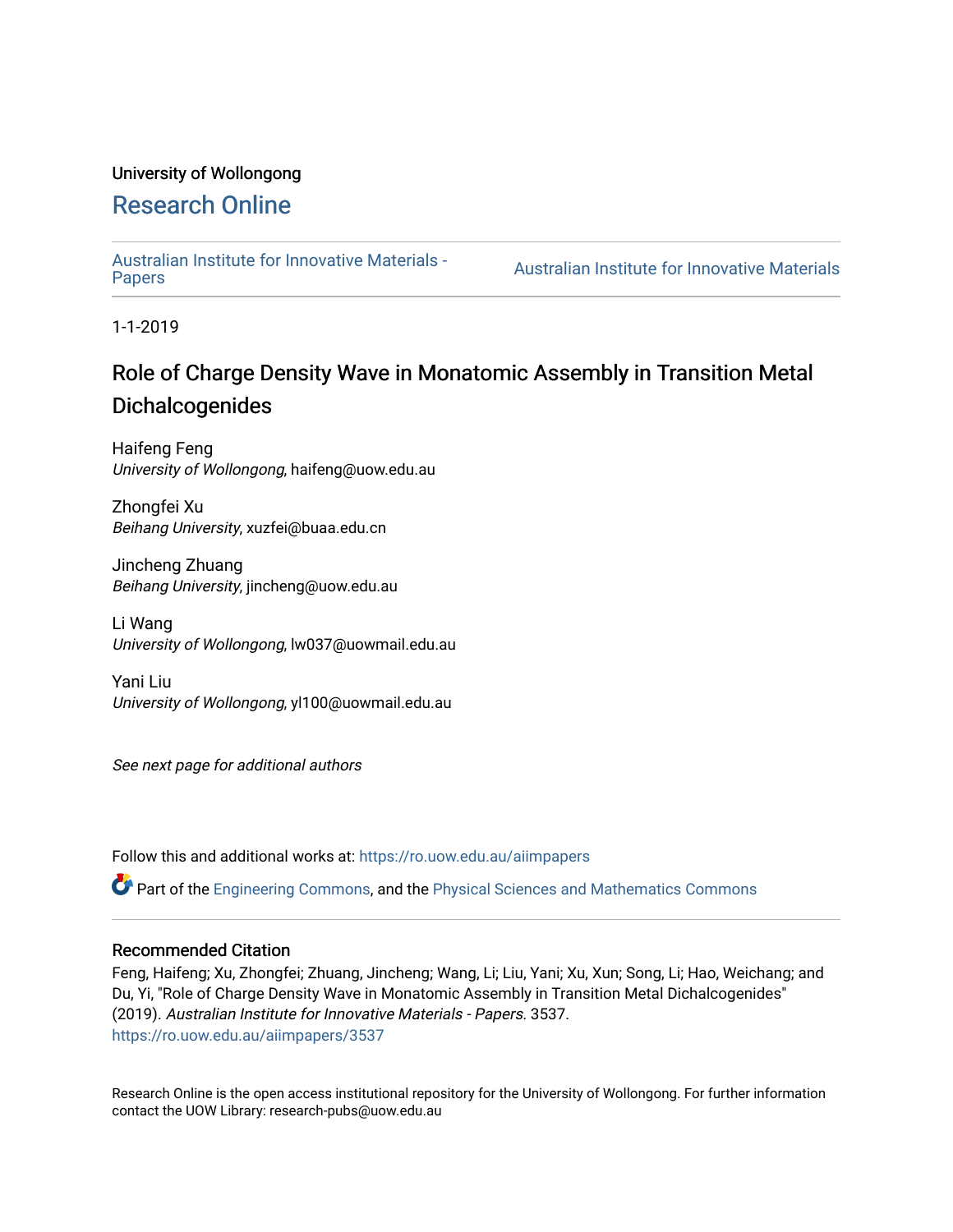### University of Wollongong

### [Research Online](https://ro.uow.edu.au/)

[Australian Institute for Innovative Materials -](https://ro.uow.edu.au/aiimpapers)

Australian Institute for Innovative Materials

1-1-2019

### Role of Charge Density Wave in Monatomic Assembly in Transition Metal Dichalcogenides

Haifeng Feng University of Wollongong, haifeng@uow.edu.au

Zhongfei Xu Beihang University, xuzfei@buaa.edu.cn

Jincheng Zhuang Beihang University, jincheng@uow.edu.au

Li Wang University of Wollongong, lw037@uowmail.edu.au

Yani Liu University of Wollongong, yl100@uowmail.edu.au

See next page for additional authors

Follow this and additional works at: [https://ro.uow.edu.au/aiimpapers](https://ro.uow.edu.au/aiimpapers?utm_source=ro.uow.edu.au%2Faiimpapers%2F3537&utm_medium=PDF&utm_campaign=PDFCoverPages)

Part of the [Engineering Commons](http://network.bepress.com/hgg/discipline/217?utm_source=ro.uow.edu.au%2Faiimpapers%2F3537&utm_medium=PDF&utm_campaign=PDFCoverPages), and the [Physical Sciences and Mathematics Commons](http://network.bepress.com/hgg/discipline/114?utm_source=ro.uow.edu.au%2Faiimpapers%2F3537&utm_medium=PDF&utm_campaign=PDFCoverPages) 

#### Recommended Citation

Feng, Haifeng; Xu, Zhongfei; Zhuang, Jincheng; Wang, Li; Liu, Yani; Xu, Xun; Song, Li; Hao, Weichang; and Du, Yi, "Role of Charge Density Wave in Monatomic Assembly in Transition Metal Dichalcogenides" (2019). Australian Institute for Innovative Materials - Papers. 3537. [https://ro.uow.edu.au/aiimpapers/3537](https://ro.uow.edu.au/aiimpapers/3537?utm_source=ro.uow.edu.au%2Faiimpapers%2F3537&utm_medium=PDF&utm_campaign=PDFCoverPages) 

Research Online is the open access institutional repository for the University of Wollongong. For further information contact the UOW Library: research-pubs@uow.edu.au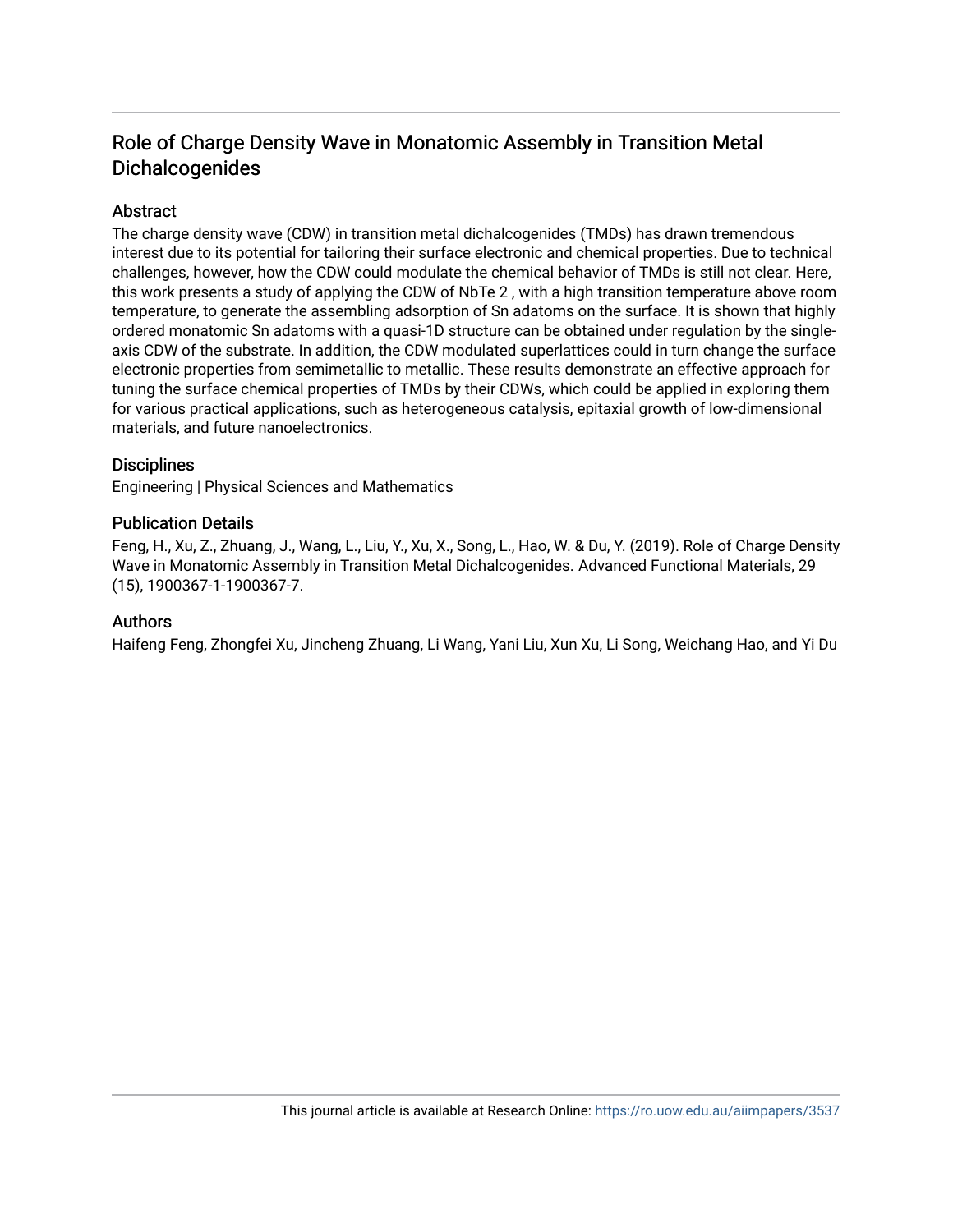### Role of Charge Density Wave in Monatomic Assembly in Transition Metal Dichalcogenides

### Abstract

The charge density wave (CDW) in transition metal dichalcogenides (TMDs) has drawn tremendous interest due to its potential for tailoring their surface electronic and chemical properties. Due to technical challenges, however, how the CDW could modulate the chemical behavior of TMDs is still not clear. Here, this work presents a study of applying the CDW of NbTe 2 , with a high transition temperature above room temperature, to generate the assembling adsorption of Sn adatoms on the surface. It is shown that highly ordered monatomic Sn adatoms with a quasi-1D structure can be obtained under regulation by the singleaxis CDW of the substrate. In addition, the CDW modulated superlattices could in turn change the surface electronic properties from semimetallic to metallic. These results demonstrate an effective approach for tuning the surface chemical properties of TMDs by their CDWs, which could be applied in exploring them for various practical applications, such as heterogeneous catalysis, epitaxial growth of low-dimensional materials, and future nanoelectronics.

### **Disciplines**

Engineering | Physical Sciences and Mathematics

### Publication Details

Feng, H., Xu, Z., Zhuang, J., Wang, L., Liu, Y., Xu, X., Song, L., Hao, W. & Du, Y. (2019). Role of Charge Density Wave in Monatomic Assembly in Transition Metal Dichalcogenides. Advanced Functional Materials, 29 (15), 1900367-1-1900367-7.

#### Authors

Haifeng Feng, Zhongfei Xu, Jincheng Zhuang, Li Wang, Yani Liu, Xun Xu, Li Song, Weichang Hao, and Yi Du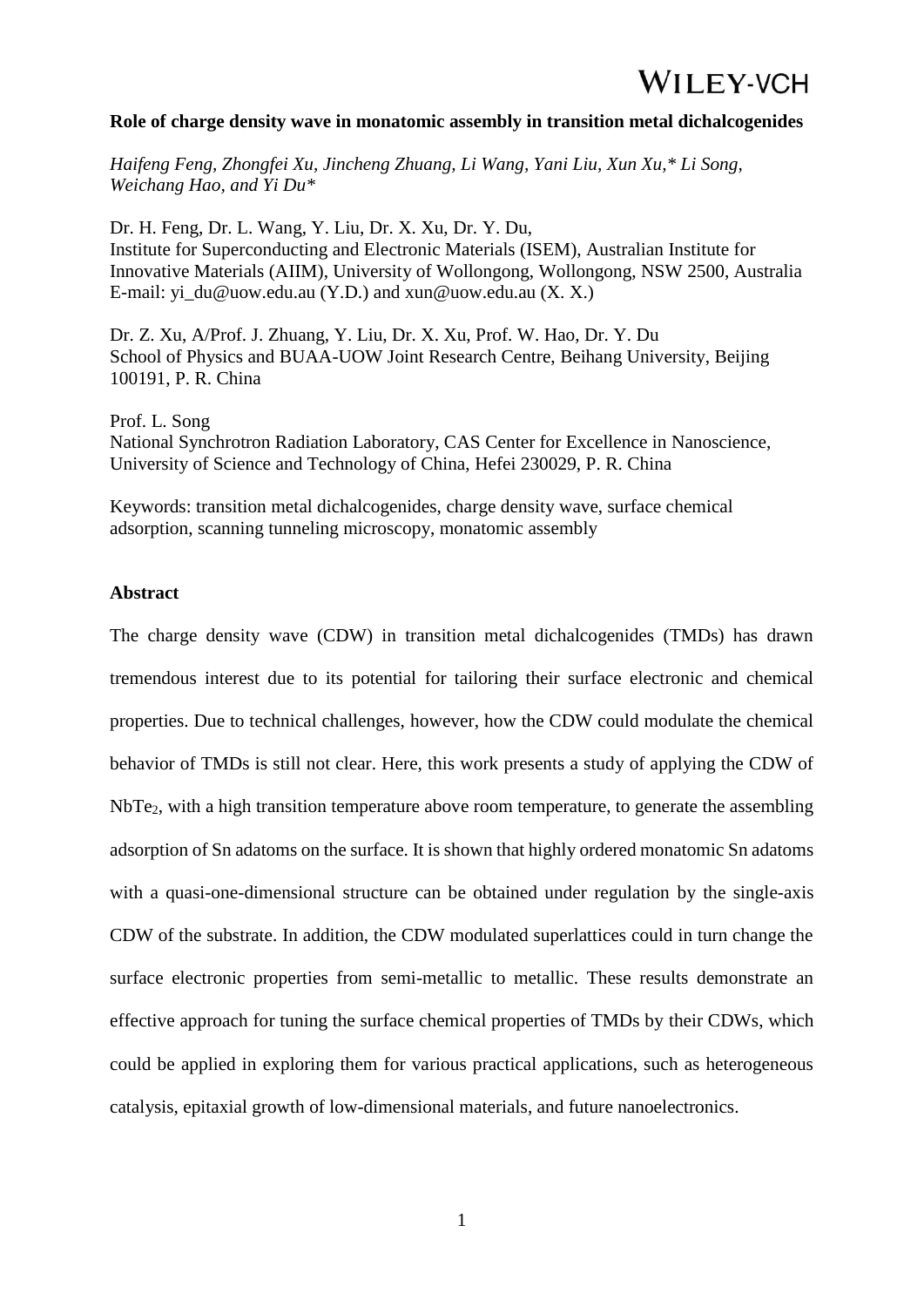#### **Role of charge density wave in monatomic assembly in transition metal dichalcogenides**

*Haifeng Feng, Zhongfei Xu, Jincheng Zhuang, Li Wang, Yani Liu, Xun Xu,\* Li Song, Weichang Hao, and Yi Du\**

Dr. H. Feng, Dr. L. Wang, Y. Liu, Dr. X. Xu, Dr. Y. Du, Institute for Superconducting and Electronic Materials (ISEM), Australian Institute for Innovative Materials (AIIM), University of Wollongong, Wollongong, NSW 2500, Australia E-mail: yi\_du@uow.edu.au (Y.D.) and xun@uow.edu.au (X. X.)

Dr. Z. Xu, A/Prof. J. Zhuang, Y. Liu, Dr. X. Xu, Prof. W. Hao, Dr. Y. Du School of Physics and BUAA-UOW Joint Research Centre, Beihang University, Beijing 100191, P. R. China

Prof. L. Song National Synchrotron Radiation Laboratory, CAS Center for Excellence in Nanoscience, University of Science and Technology of China, Hefei 230029, P. R. China

Keywords: transition metal dichalcogenides, charge density wave, surface chemical adsorption, scanning tunneling microscopy, monatomic assembly

#### **Abstract**

The charge density wave (CDW) in transition metal dichalcogenides (TMDs) has drawn tremendous interest due to its potential for tailoring their surface electronic and chemical properties. Due to technical challenges, however, how the CDW could modulate the chemical behavior of TMDs is still not clear. Here, this work presents a study of applying the CDW of NbTe2, with a high transition temperature above room temperature, to generate the assembling adsorption of Sn adatoms on the surface. It is shown that highly ordered monatomic Sn adatoms with a quasi-one-dimensional structure can be obtained under regulation by the single-axis CDW of the substrate. In addition, the CDW modulated superlattices could in turn change the surface electronic properties from semi-metallic to metallic. These results demonstrate an effective approach for tuning the surface chemical properties of TMDs by their CDWs, which could be applied in exploring them for various practical applications, such as heterogeneous catalysis, epitaxial growth of low-dimensional materials, and future nanoelectronics.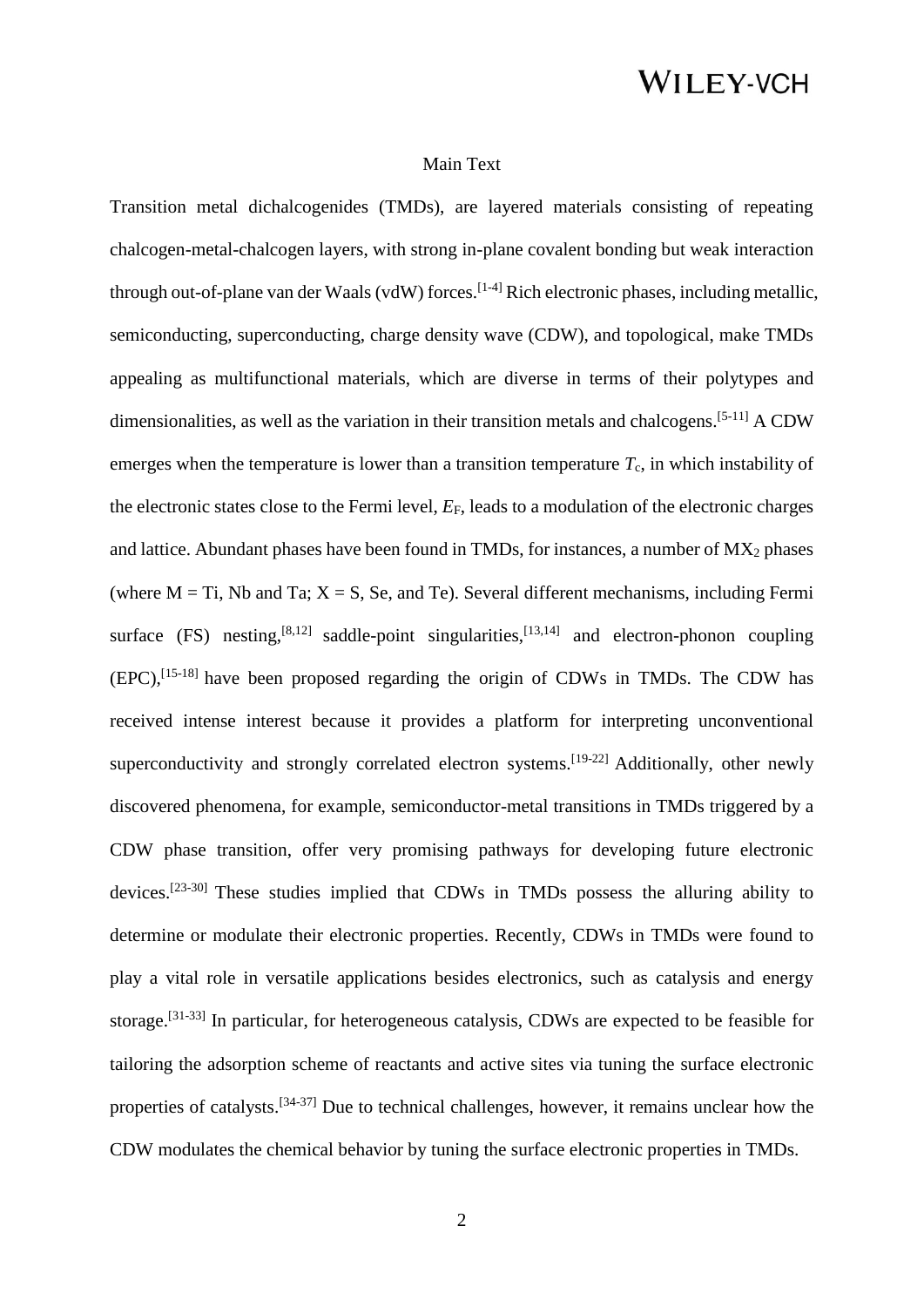#### Main Text

Transition metal dichalcogenides (TMDs), are layered materials consisting of repeating chalcogen-metal-chalcogen layers, with strong in-plane covalent bonding but weak interaction through out-of-plane van der Waals (vdW) forces.<sup>[1-4]</sup> Rich electronic phases, including metallic, semiconducting, superconducting, charge density wave (CDW), and topological, make TMDs appealing as multifunctional materials, which are diverse in terms of their polytypes and dimensionalities, as well as the variation in their transition metals and chalcogens.[5-11] A CDW emerges when the temperature is lower than a transition temperature  $T_c$ , in which instability of the electronic states close to the Fermi level, *E*F, leads to a modulation of the electronic charges and lattice. Abundant phases have been found in TMDs, for instances, a number of  $MX_2$  phases (where  $M = Ti$ , Nb and Ta;  $X = S$ , Se, and Te). Several different mechanisms, including Fermi surface  $(FS)$  nesting,  $[8,12]$  saddle-point singularities,  $[13,14]$  and electron-phonon coupling  $(EPC)$ ,  $[15-18]$  have been proposed regarding the origin of CDWs in TMDs. The CDW has received intense interest because it provides a platform for interpreting unconventional superconductivity and strongly correlated electron systems.<sup>[19-22]</sup> Additionally, other newly discovered phenomena, for example, semiconductor-metal transitions in TMDs triggered by a CDW phase transition, offer very promising pathways for developing future electronic devices.<sup>[23-30]</sup> These studies implied that CDWs in TMDs possess the alluring ability to determine or modulate their electronic properties. Recently, CDWs in TMDs were found to play a vital role in versatile applications besides electronics, such as catalysis and energy storage.<sup>[31-33]</sup> In particular, for heterogeneous catalysis, CDWs are expected to be feasible for tailoring the adsorption scheme of reactants and active sites via tuning the surface electronic properties of catalysts.[34-37] Due to technical challenges, however, it remains unclear how the CDW modulates the chemical behavior by tuning the surface electronic properties in TMDs.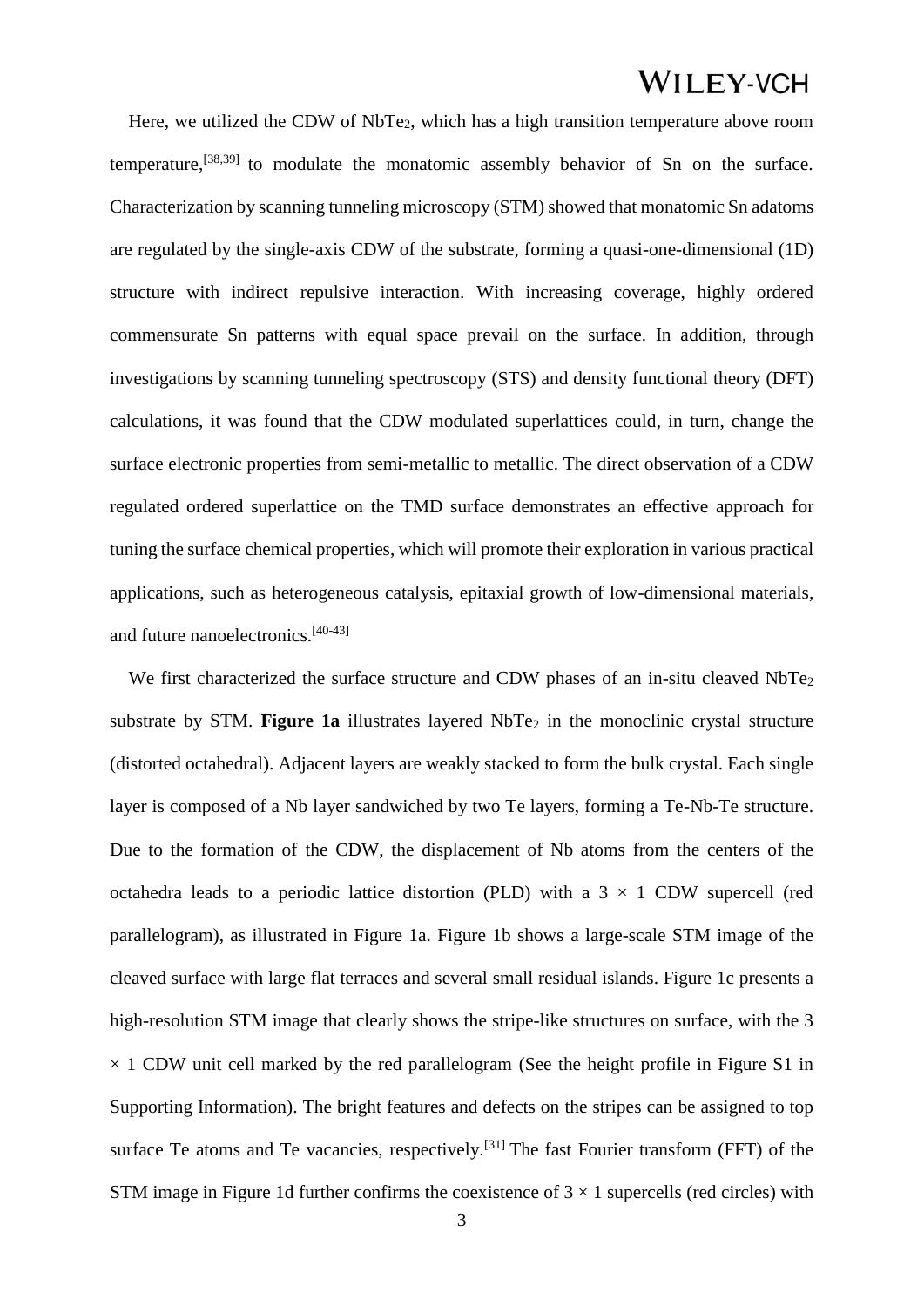Here, we utilized the CDW of NbTe2, which has a high transition temperature above room temperature,[38,39] to modulate the monatomic assembly behavior of Sn on the surface. Characterization by scanning tunneling microscopy (STM) showed that monatomic Sn adatoms are regulated by the single-axis CDW of the substrate, forming a quasi-one-dimensional (1D) structure with indirect repulsive interaction. With increasing coverage, highly ordered commensurate Sn patterns with equal space prevail on the surface. In addition, through investigations by scanning tunneling spectroscopy (STS) and density functional theory (DFT) calculations, it was found that the CDW modulated superlattices could, in turn, change the surface electronic properties from semi-metallic to metallic. The direct observation of a CDW regulated ordered superlattice on the TMD surface demonstrates an effective approach for tuning the surface chemical properties, which will promote their exploration in various practical applications, such as heterogeneous catalysis, epitaxial growth of low-dimensional materials, and future nanoelectronics.[40-43]

We first characterized the surface structure and CDW phases of an in-situ cleaved NbTe<sub>2</sub> substrate by STM. Figure 1a illustrates layered NbTe<sub>2</sub> in the monoclinic crystal structure (distorted octahedral). Adjacent layers are weakly stacked to form the bulk crystal. Each single layer is composed of a Nb layer sandwiched by two Te layers, forming a Te-Nb-Te structure. Due to the formation of the CDW, the displacement of Nb atoms from the centers of the octahedra leads to a periodic lattice distortion (PLD) with a  $3 \times 1$  CDW supercell (red parallelogram), as illustrated in Figure 1a. Figure 1b shows a large-scale STM image of the cleaved surface with large flat terraces and several small residual islands. Figure 1c presents a high-resolution STM image that clearly shows the stripe-like structures on surface, with the 3  $\times$  1 CDW unit cell marked by the red parallelogram (See the height profile in Figure S1 in Supporting Information). The bright features and defects on the stripes can be assigned to top surface Te atoms and Te vacancies, respectively.<sup>[31]</sup> The fast Fourier transform (FFT) of the STM image in Figure 1d further confirms the coexistence of  $3 \times 1$  supercells (red circles) with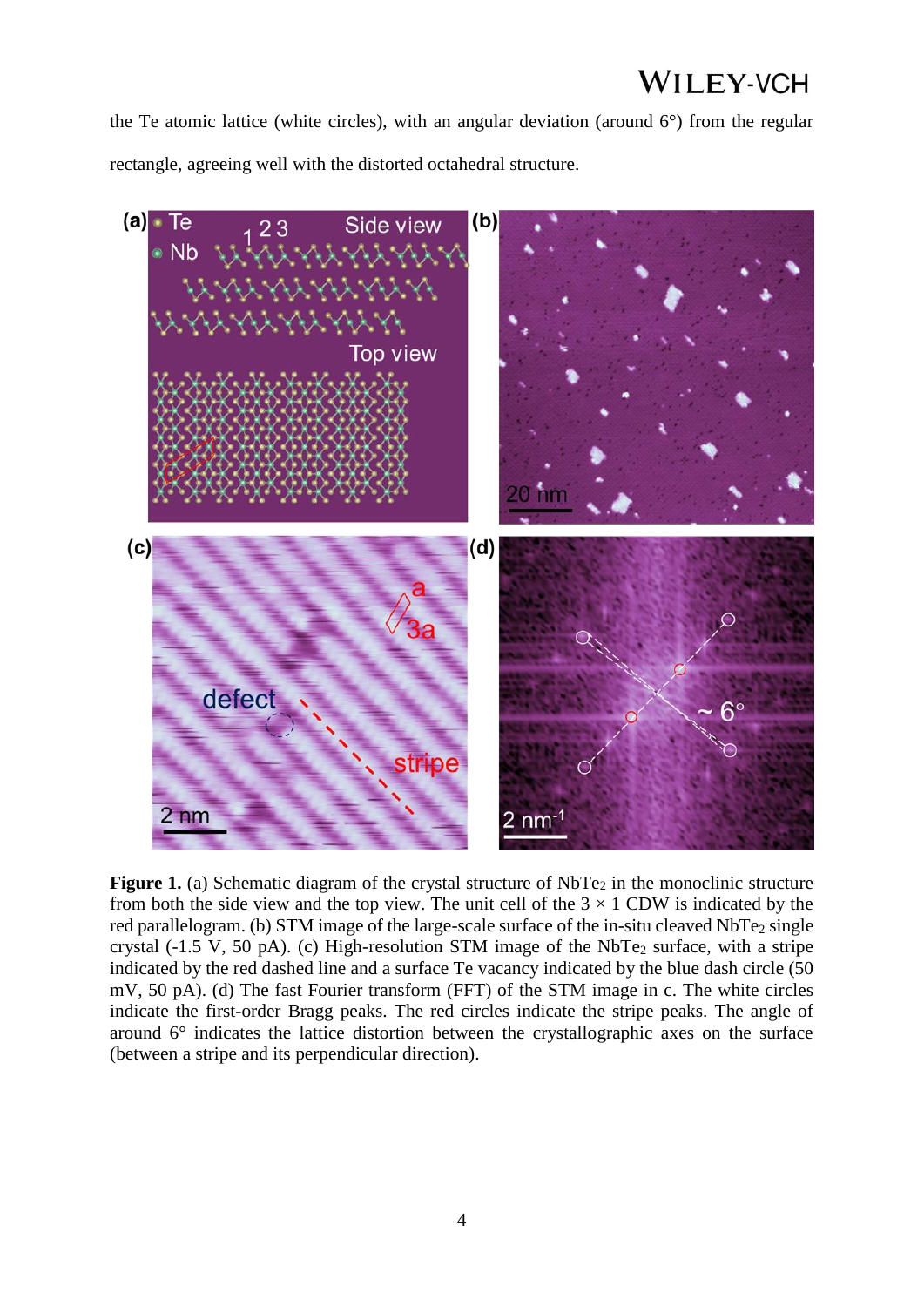the Te atomic lattice (white circles), with an angular deviation (around  $6^{\circ}$ ) from the regular rectangle, agreeing well with the distorted octahedral structure.



**Figure 1.** (a) Schematic diagram of the crystal structure of NbTe<sub>2</sub> in the monoclinic structure from both the side view and the top view. The unit cell of the  $3 \times 1$  CDW is indicated by the red parallelogram. (b) STM image of the large-scale surface of the in-situ cleaved NbTe<sub>2</sub> single crystal (-1.5 V, 50 pA). (c) High-resolution STM image of the  $NbTe<sub>2</sub>$  surface, with a stripe indicated by the red dashed line and a surface Te vacancy indicated by the blue dash circle (50 mV, 50 pA). (d) The fast Fourier transform (FFT) of the STM image in c. The white circles indicate the first-order Bragg peaks. The red circles indicate the stripe peaks. The angle of around 6° indicates the lattice distortion between the crystallographic axes on the surface (between a stripe and its perpendicular direction).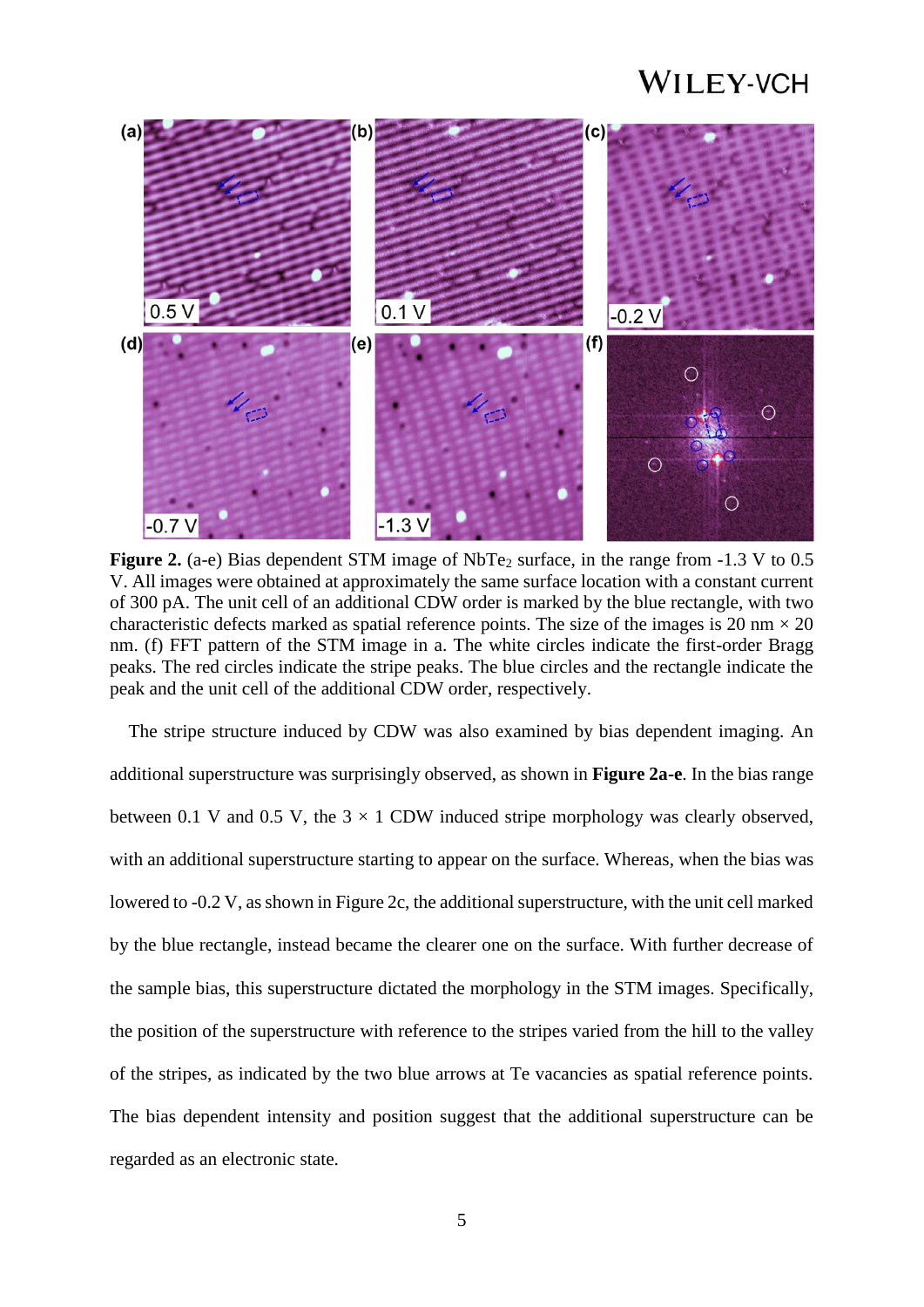

**Figure 2.** (a-e) Bias dependent STM image of NbTe<sub>2</sub> surface, in the range from -1.3 V to 0.5 V. All images were obtained at approximately the same surface location with a constant current of 300 pA. The unit cell of an additional CDW order is marked by the blue rectangle, with two characteristic defects marked as spatial reference points. The size of the images is 20 nm  $\times$  20 nm. (f) FFT pattern of the STM image in a. The white circles indicate the first-order Bragg peaks. The red circles indicate the stripe peaks. The blue circles and the rectangle indicate the peak and the unit cell of the additional CDW order, respectively.

The stripe structure induced by CDW was also examined by bias dependent imaging. An additional superstructure was surprisingly observed, as shown in **Figure 2a-e**. In the bias range between 0.1 V and 0.5 V, the  $3 \times 1$  CDW induced stripe morphology was clearly observed, with an additional superstructure starting to appear on the surface. Whereas, when the bias was lowered to -0.2 V, as shown in Figure 2c, the additional superstructure, with the unit cell marked by the blue rectangle, instead became the clearer one on the surface. With further decrease of the sample bias, this superstructure dictated the morphology in the STM images. Specifically, the position of the superstructure with reference to the stripes varied from the hill to the valley of the stripes, as indicated by the two blue arrows at Te vacancies as spatial reference points. The bias dependent intensity and position suggest that the additional superstructure can be regarded as an electronic state.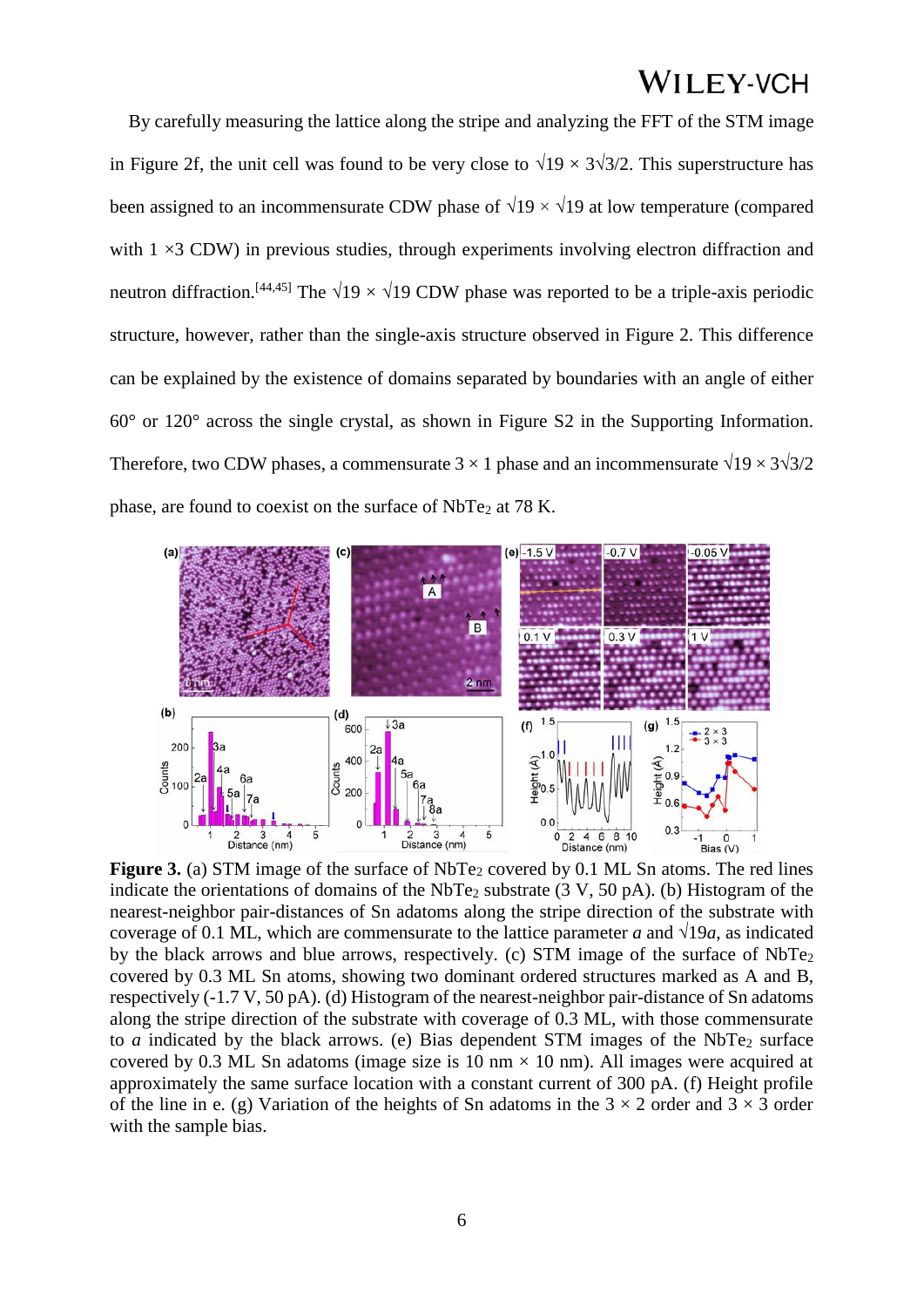By carefully measuring the lattice along the stripe and analyzing the FFT of the STM image in Figure 2f, the unit cell was found to be very close to  $\sqrt{19} \times 3\sqrt{3}/2$ . This superstructure has been assigned to an incommensurate CDW phase of  $\sqrt{19} \times \sqrt{19}$  at low temperature (compared with  $1 \times 3$  CDW) in previous studies, through experiments involving electron diffraction and neutron diffraction.<sup>[44,45]</sup> The  $\sqrt{19} \times \sqrt{19}$  CDW phase was reported to be a triple-axis periodic structure, however, rather than the single-axis structure observed in Figure 2. This difference can be explained by the existence of domains separated by boundaries with an angle of either 60° or 120° across the single crystal, as shown in Figure S2 in the Supporting Information. Therefore, two CDW phases, a commensurate  $3 \times 1$  phase and an incommensurate  $\sqrt{19} \times 3\sqrt{3}/2$ phase, are found to coexist on the surface of NbTe<sub>2</sub> at 78 K.



**Figure 3.** (a) STM image of the surface of NbTe<sub>2</sub> covered by 0.1 ML Sn atoms. The red lines indicate the orientations of domains of the NbTe<sub>2</sub> substrate  $(3 V, 50 pA)$ . (b) Histogram of the nearest-neighbor pair-distances of Sn adatoms along the stripe direction of the substrate with coverage of 0.1 ML, which are commensurate to the lattice parameter *a* and  $\sqrt{19a}$ , as indicated by the black arrows and blue arrows, respectively. (c) STM image of the surface of NbTe<sup>2</sup> covered by 0.3 ML Sn atoms, showing two dominant ordered structures marked as A and B, respectively (-1.7 V, 50 pA). (d) Histogram of the nearest-neighbor pair-distance of Sn adatoms along the stripe direction of the substrate with coverage of 0.3 ML, with those commensurate to *a* indicated by the black arrows. (e) Bias dependent STM images of the NbTe<sub>2</sub> surface covered by 0.3 ML Sn adatoms (image size is 10 nm  $\times$  10 nm). All images were acquired at approximately the same surface location with a constant current of 300 pA. (f) Height profile of the line in e. (g) Variation of the heights of Sn adatoms in the  $3 \times 2$  order and  $3 \times 3$  order with the sample bias.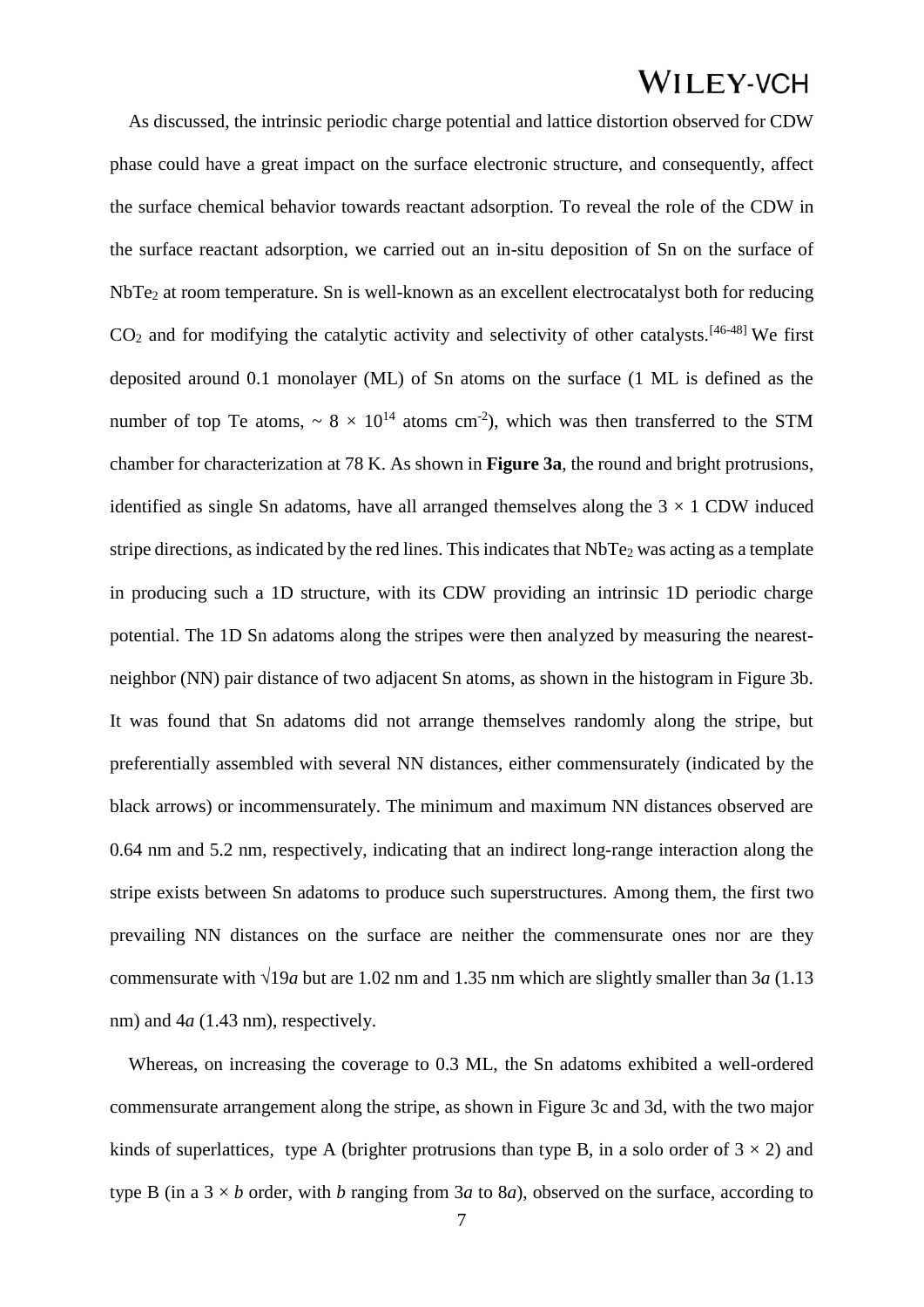As discussed, the intrinsic periodic charge potential and lattice distortion observed for CDW phase could have a great impact on the surface electronic structure, and consequently, affect the surface chemical behavior towards reactant adsorption. To reveal the role of the CDW in the surface reactant adsorption, we carried out an in-situ deposition of Sn on the surface of NbTe<sub>2</sub> at room temperature. Sn is well-known as an excellent electrocatalyst both for reducing  $CO<sub>2</sub>$  and for modifying the catalytic activity and selectivity of other catalysts.<sup>[46-48]</sup> We first deposited around 0.1 monolayer (ML) of Sn atoms on the surface (1 ML is defined as the number of top Te atoms,  $\sim 8 \times 10^{14}$  atoms cm<sup>-2</sup>), which was then transferred to the STM chamber for characterization at 78 K. As shown in **Figure 3a**, the round and bright protrusions, identified as single Sn adatoms, have all arranged themselves along the  $3 \times 1$  CDW induced stripe directions, as indicated by the red lines. This indicates that  $NbTe<sub>2</sub>$  was acting as a template in producing such a 1D structure, with its CDW providing an intrinsic 1D periodic charge potential. The 1D Sn adatoms along the stripes were then analyzed by measuring the nearestneighbor (NN) pair distance of two adjacent Sn atoms, as shown in the histogram in Figure 3b. It was found that Sn adatoms did not arrange themselves randomly along the stripe, but preferentially assembled with several NN distances, either commensurately (indicated by the black arrows) or incommensurately. The minimum and maximum NN distances observed are 0.64 nm and 5.2 nm, respectively, indicating that an indirect long-range interaction along the stripe exists between Sn adatoms to produce such superstructures. Among them, the first two prevailing NN distances on the surface are neither the commensurate ones nor are they commensurate with  $\sqrt{19a}$  but are 1.02 nm and 1.35 nm which are slightly smaller than 3*a* (1.13) nm) and  $4a$  (1.43 nm), respectively.

Whereas, on increasing the coverage to 0.3 ML, the Sn adatoms exhibited a well-ordered commensurate arrangement along the stripe, as shown in Figure 3c and 3d, with the two major kinds of superlattices, type A (brighter protrusions than type B, in a solo order of  $3 \times 2$ ) and type B (in a  $3 \times b$  order, with *b* ranging from 3*a* to 8*a*), observed on the surface, according to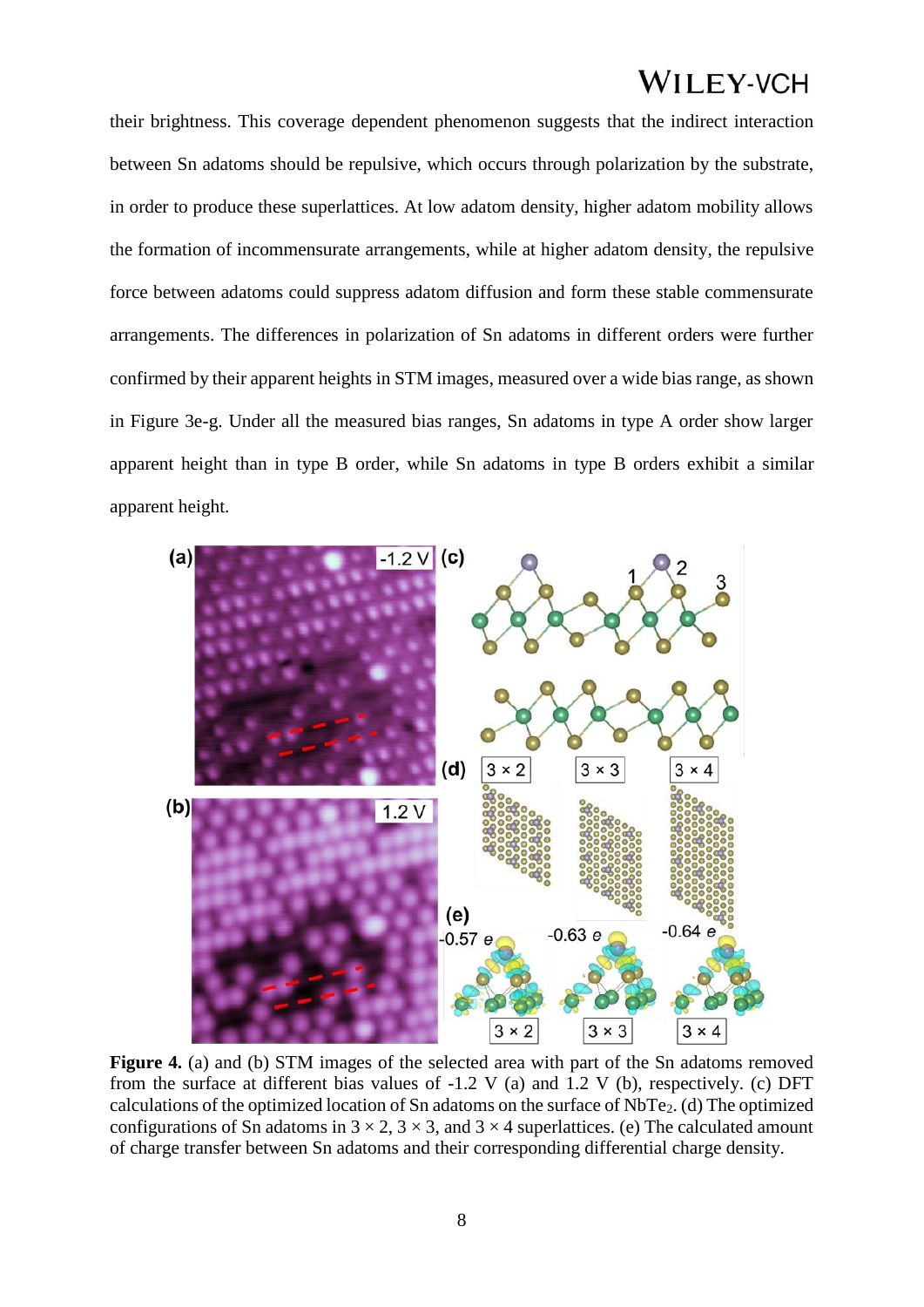their brightness. This coverage dependent phenomenon suggests that the indirect interaction between Sn adatoms should be repulsive, which occurs through polarization by the substrate, in order to produce these superlattices. At low adatom density, higher adatom mobility allows the formation of incommensurate arrangements, while at higher adatom density, the repulsive force between adatoms could suppress adatom diffusion and form these stable commensurate arrangements. The differences in polarization of Sn adatoms in different orders were further confirmed by their apparent heights in STM images, measured over a wide bias range, as shown in Figure 3e-g. Under all the measured bias ranges, Sn adatoms in type A order show larger apparent height than in type B order, while Sn adatoms in type B orders exhibit a similar apparent height.



Figure 4. (a) and (b) STM images of the selected area with part of the Sn adatoms removed from the surface at different bias values of  $-1.2$  V (a) and  $1.2$  V (b), respectively. (c) DFT calculations of the optimized location of Sn adatoms on the surface of NbTe2. (d) The optimized configurations of Sn adatoms in  $3 \times 2$ ,  $3 \times 3$ , and  $3 \times 4$  superlattices. (e) The calculated amount of charge transfer between Sn adatoms and their corresponding differential charge density.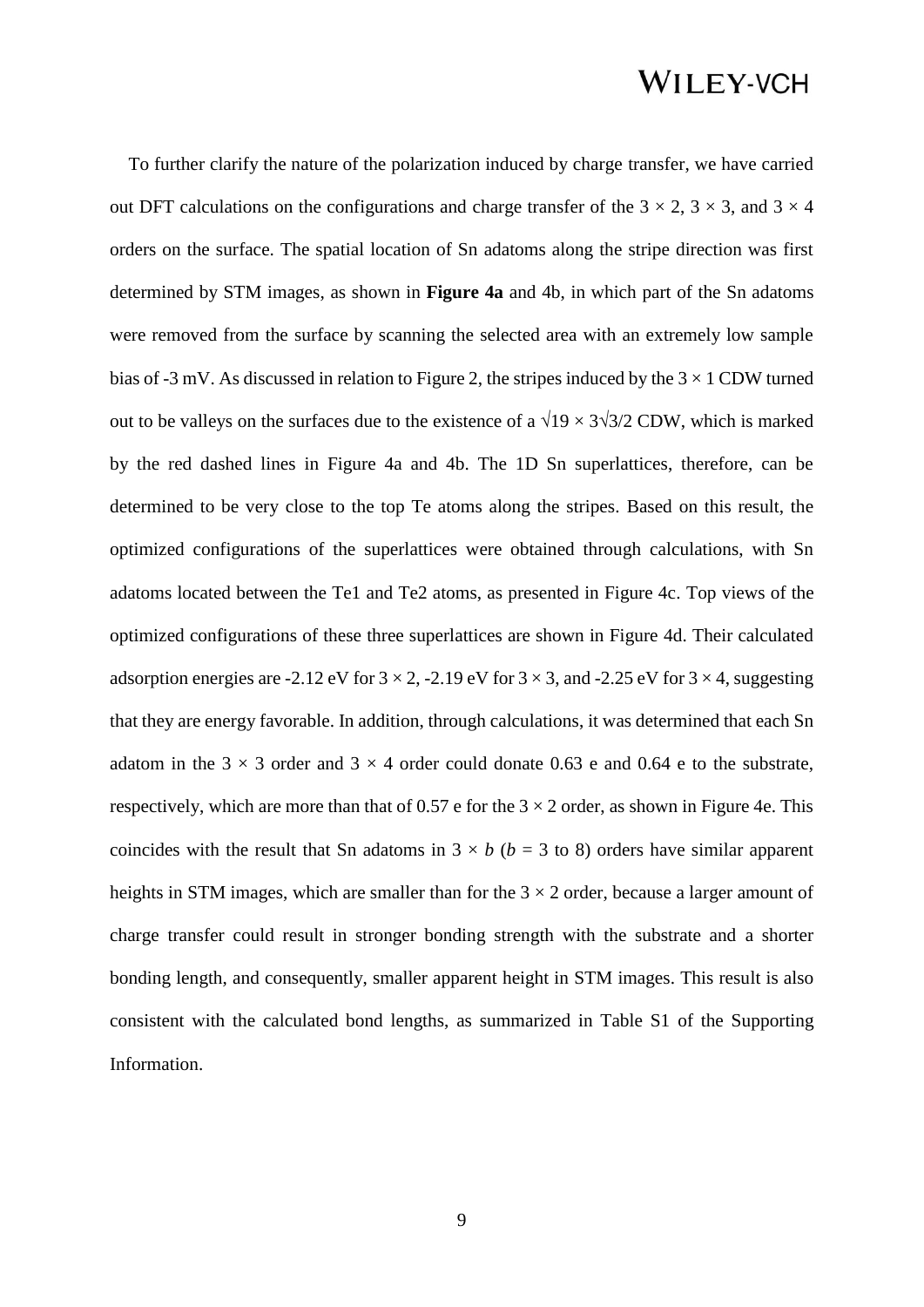To further clarify the nature of the polarization induced by charge transfer, we have carried out DFT calculations on the configurations and charge transfer of the  $3 \times 2$ ,  $3 \times 3$ , and  $3 \times 4$ orders on the surface. The spatial location of Sn adatoms along the stripe direction was first determined by STM images, as shown in **Figure 4a** and 4b, in which part of the Sn adatoms were removed from the surface by scanning the selected area with an extremely low sample bias of -3 mV. As discussed in relation to Figure 2, the stripes induced by the  $3 \times 1$  CDW turned out to be valleys on the surfaces due to the existence of a  $\sqrt{19} \times 3\sqrt{3}/2$  CDW, which is marked by the red dashed lines in Figure 4a and 4b. The 1D Sn superlattices, therefore, can be determined to be very close to the top Te atoms along the stripes. Based on this result, the optimized configurations of the superlattices were obtained through calculations, with Sn adatoms located between the Te1 and Te2 atoms, as presented in Figure 4c. Top views of the optimized configurations of these three superlattices are shown in Figure 4d. Their calculated adsorption energies are -2.12 eV for  $3 \times 2$ , -2.19 eV for  $3 \times 3$ , and -2.25 eV for  $3 \times 4$ , suggesting that they are energy favorable. In addition, through calculations, it was determined that each Sn adatom in the  $3 \times 3$  order and  $3 \times 4$  order could donate 0.63 e and 0.64 e to the substrate, respectively, which are more than that of 0.57 e for the  $3 \times 2$  order, as shown in Figure 4e. This coincides with the result that Sn adatoms in  $3 \times b$  ( $b = 3$  to 8) orders have similar apparent heights in STM images, which are smaller than for the  $3 \times 2$  order, because a larger amount of charge transfer could result in stronger bonding strength with the substrate and a shorter bonding length, and consequently, smaller apparent height in STM images. This result is also consistent with the calculated bond lengths, as summarized in Table S1 of the Supporting Information.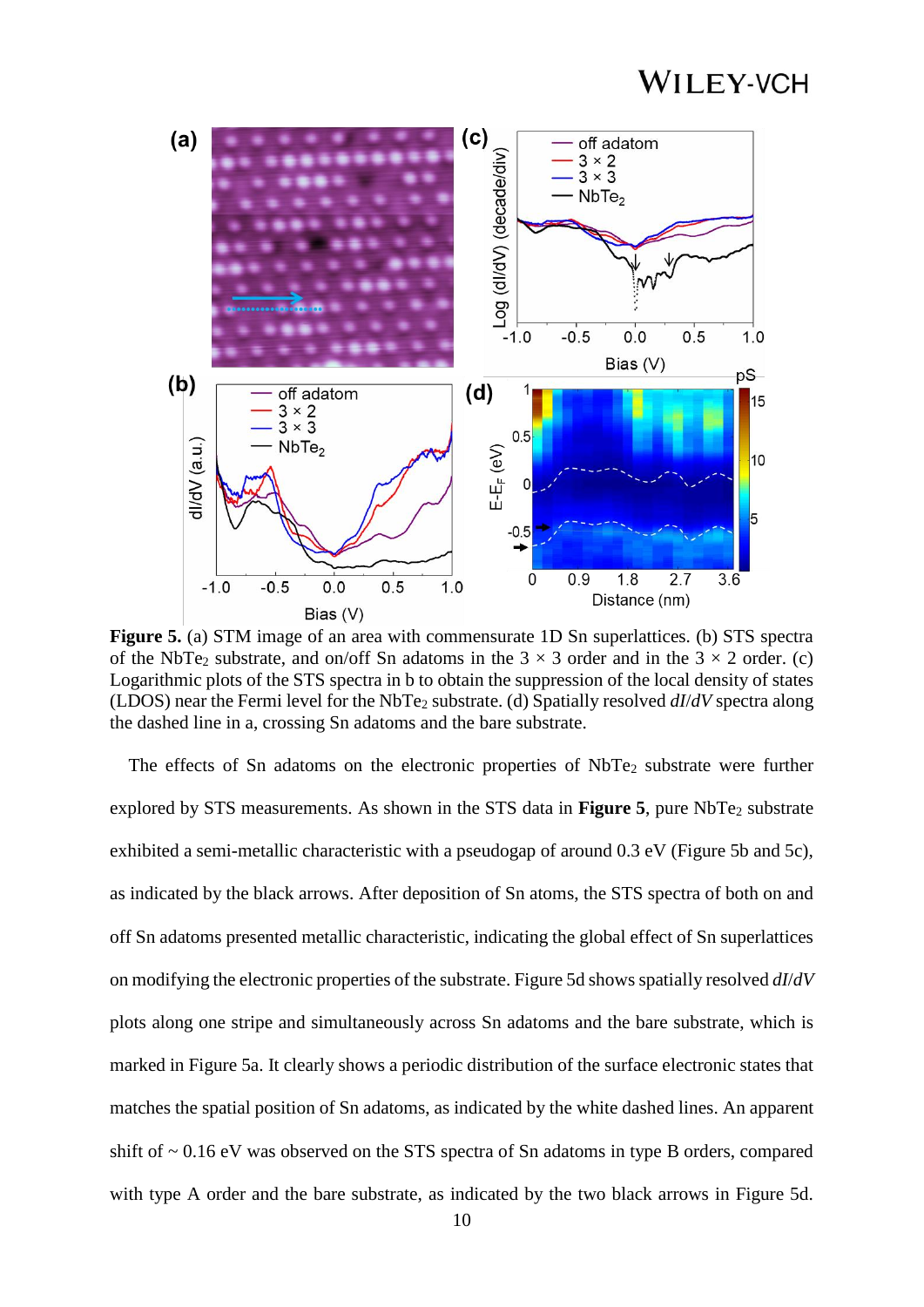

**Figure 5.** (a) STM image of an area with commensurate 1D Sn superlattices. (b) STS spectra of the NbTe<sub>2</sub> substrate, and on/off Sn adatoms in the  $3 \times 3$  order and in the  $3 \times 2$  order. (c) Logarithmic plots of the STS spectra in b to obtain the suppression of the local density of states (LDOS) near the Fermi level for the NbTe<sup>2</sup> substrate. (d) Spatially resolved *dI*/*dV* spectra along the dashed line in a, crossing Sn adatoms and the bare substrate.

The effects of Sn adatoms on the electronic properties of NbTe<sub>2</sub> substrate were further explored by STS measurements. As shown in the STS data in **Figure 5**, pure NbTe<sub>2</sub> substrate exhibited a semi-metallic characteristic with a pseudogap of around 0.3 eV (Figure 5b and 5c), as indicated by the black arrows. After deposition of Sn atoms, the STS spectra of both on and off Sn adatoms presented metallic characteristic, indicating the global effect of Sn superlattices on modifying the electronic properties of the substrate. Figure 5d shows spatially resolved *dI*/*dV* plots along one stripe and simultaneously across Sn adatoms and the bare substrate, which is marked in Figure 5a. It clearly shows a periodic distribution of the surface electronic states that matches the spatial position of Sn adatoms, as indicated by the white dashed lines. An apparent shift of  $\sim 0.16$  eV was observed on the STS spectra of Sn adatoms in type B orders, compared with type A order and the bare substrate, as indicated by the two black arrows in Figure 5d.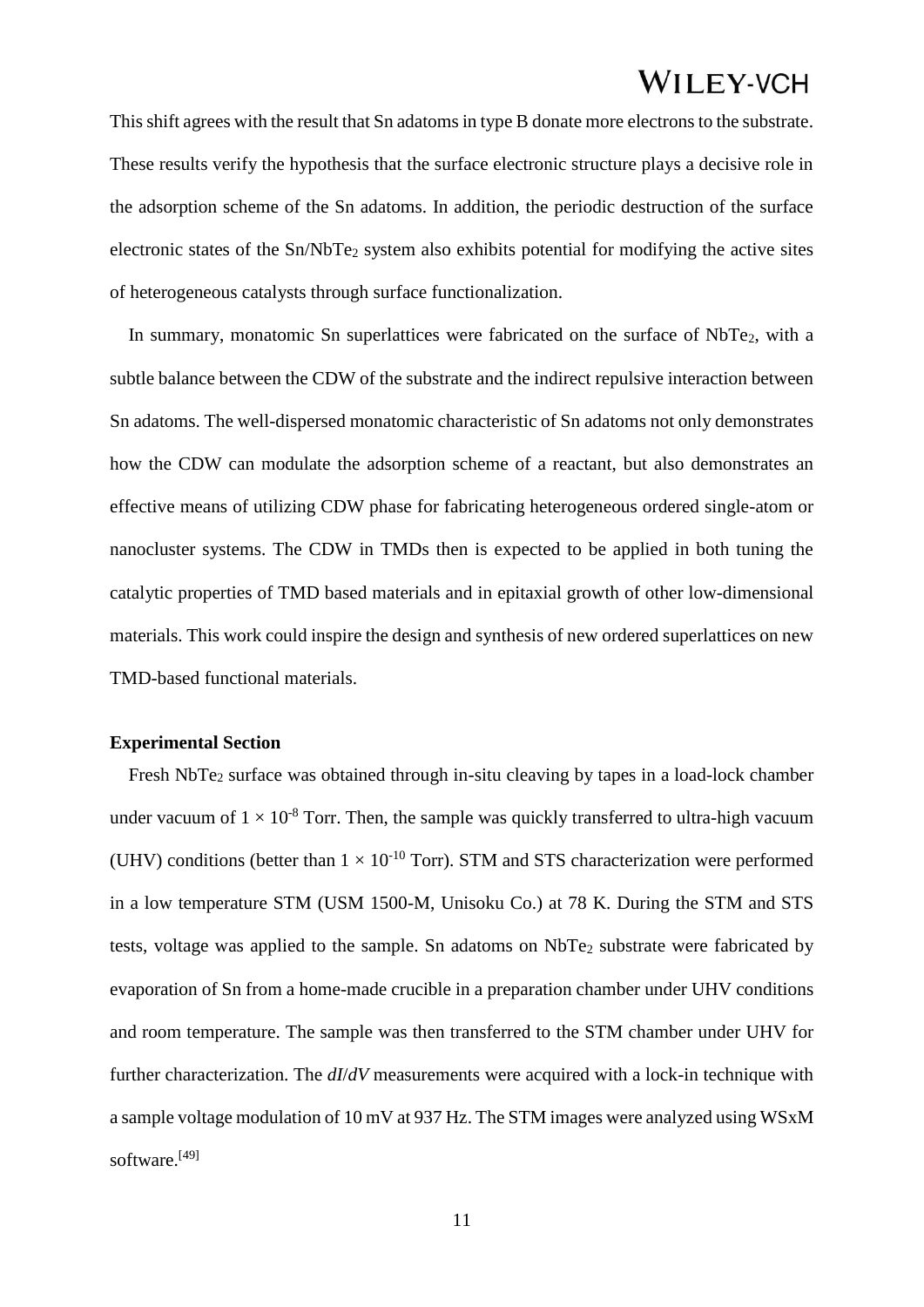This shift agrees with the result that Sn adatoms in type B donate more electrons to the substrate. These results verify the hypothesis that the surface electronic structure plays a decisive role in the adsorption scheme of the Sn adatoms. In addition, the periodic destruction of the surface electronic states of the Sn/NbTe<sup>2</sup> system also exhibits potential for modifying the active sites of heterogeneous catalysts through surface functionalization.

In summary, monatomic Sn superlattices were fabricated on the surface of NbTe<sub>2</sub>, with a subtle balance between the CDW of the substrate and the indirect repulsive interaction between Sn adatoms. The well-dispersed monatomic characteristic of Sn adatoms not only demonstrates how the CDW can modulate the adsorption scheme of a reactant, but also demonstrates an effective means of utilizing CDW phase for fabricating heterogeneous ordered single-atom or nanocluster systems. The CDW in TMDs then is expected to be applied in both tuning the catalytic properties of TMD based materials and in epitaxial growth of other low-dimensional materials. This work could inspire the design and synthesis of new ordered superlattices on new TMD-based functional materials.

### **Experimental Section**

Fresh NbTe<sub>2</sub> surface was obtained through in-situ cleaving by tapes in a load-lock chamber under vacuum of  $1 \times 10^{-8}$  Torr. Then, the sample was quickly transferred to ultra-high vacuum (UHV) conditions (better than  $1 \times 10^{-10}$  Torr). STM and STS characterization were performed in a low temperature STM (USM 1500-M, Unisoku Co.) at 78 K. During the STM and STS tests, voltage was applied to the sample. Sn adatoms on NbTe<sub>2</sub> substrate were fabricated by evaporation of Sn from a home-made crucible in a preparation chamber under UHV conditions and room temperature. The sample was then transferred to the STM chamber under UHV for further characterization. The *dI*/*dV* measurements were acquired with a lock-in technique with a sample voltage modulation of 10 mV at 937 Hz. The STM images were analyzed using WSxM software.[49]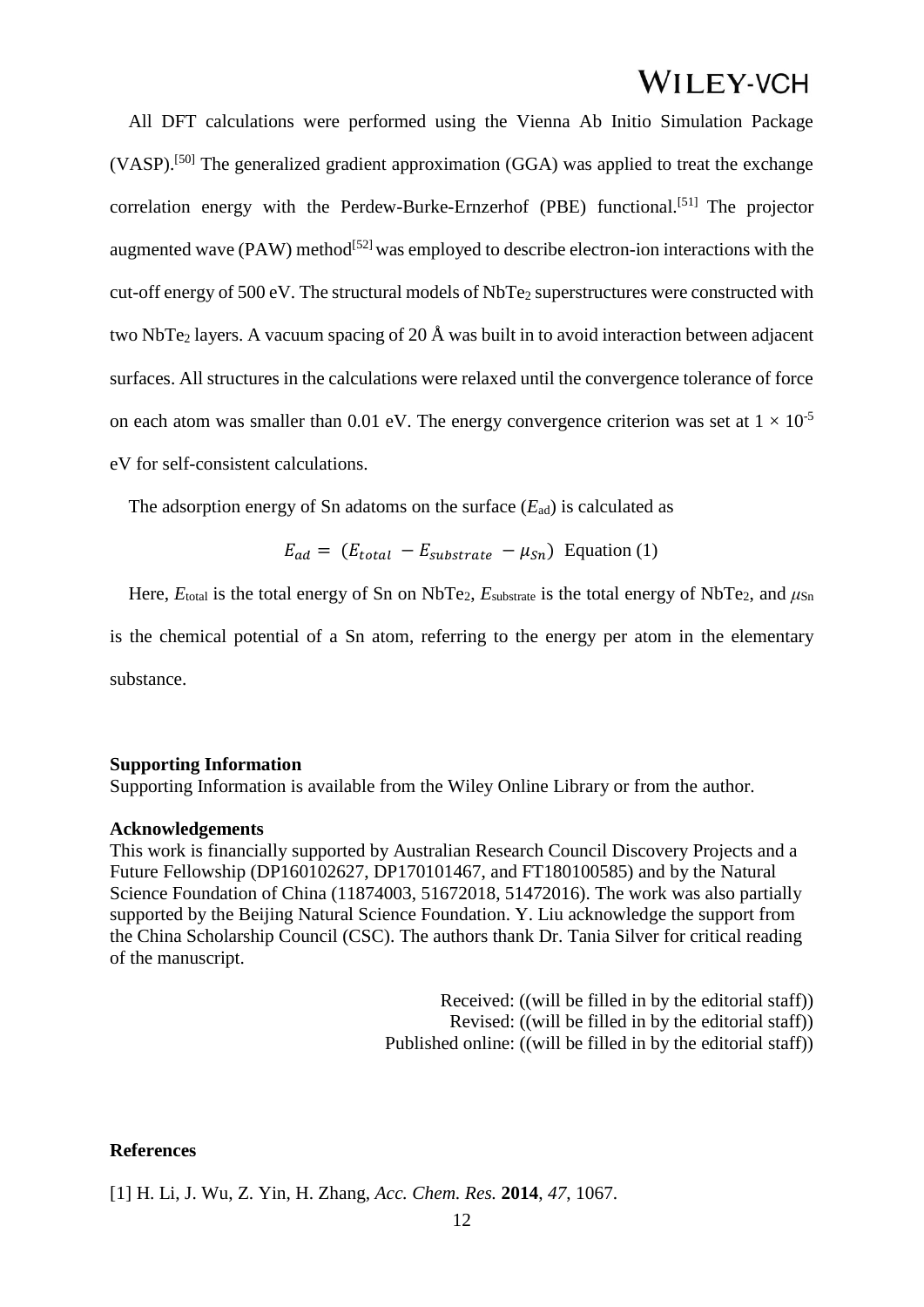All DFT calculations were performed using the Vienna Ab Initio Simulation Package (VASP).[50] The generalized gradient approximation (GGA) was applied to treat the exchange correlation energy with the Perdew-Burke-Ernzerhof (PBE) functional.<sup>[51]</sup> The projector augmented wave  $(PAW)$  method<sup>[52]</sup> was employed to describe electron-ion interactions with the cut-off energy of 500 eV. The structural models of NbTe<sub>2</sub> superstructures were constructed with two NbTe<sub>2</sub> layers. A vacuum spacing of 20 Å was built in to avoid interaction between adjacent surfaces. All structures in the calculations were relaxed until the convergence tolerance of force on each atom was smaller than 0.01 eV. The energy convergence criterion was set at  $1 \times 10^{-5}$ eV for self-consistent calculations.

The adsorption energy of Sn adatoms on the surface  $(E_{ad})$  is calculated as

 $E_{ad} = (E_{total} - E_{substrate} - \mu_{Sn})$  Equation (1)

Here,  $E_{\text{total}}$  is the total energy of Sn on NbTe<sub>2</sub>,  $E_{\text{substrate}}$  is the total energy of NbTe<sub>2</sub>, and  $\mu_{\text{Sn}}$ is the chemical potential of a Sn atom, referring to the energy per atom in the elementary substance.

#### **Supporting Information**

Supporting Information is available from the Wiley Online Library or from the author.

#### **Acknowledgements**

This work is financially supported by Australian Research Council Discovery Projects and a Future Fellowship (DP160102627, DP170101467, and FT180100585) and by the Natural Science Foundation of China (11874003, 51672018, 51472016). The work was also partially supported by the Beijing Natural Science Foundation. Y. Liu acknowledge the support from the China Scholarship Council (CSC). The authors thank Dr. Tania Silver for critical reading of the manuscript.

> Received: ((will be filled in by the editorial staff)) Revised: ((will be filled in by the editorial staff)) Published online: ((will be filled in by the editorial staff))

### **References**

[1] H. Li, J. Wu, Z. Yin, H. Zhang, *Acc. Chem. Res.* **2014**, *47*, 1067.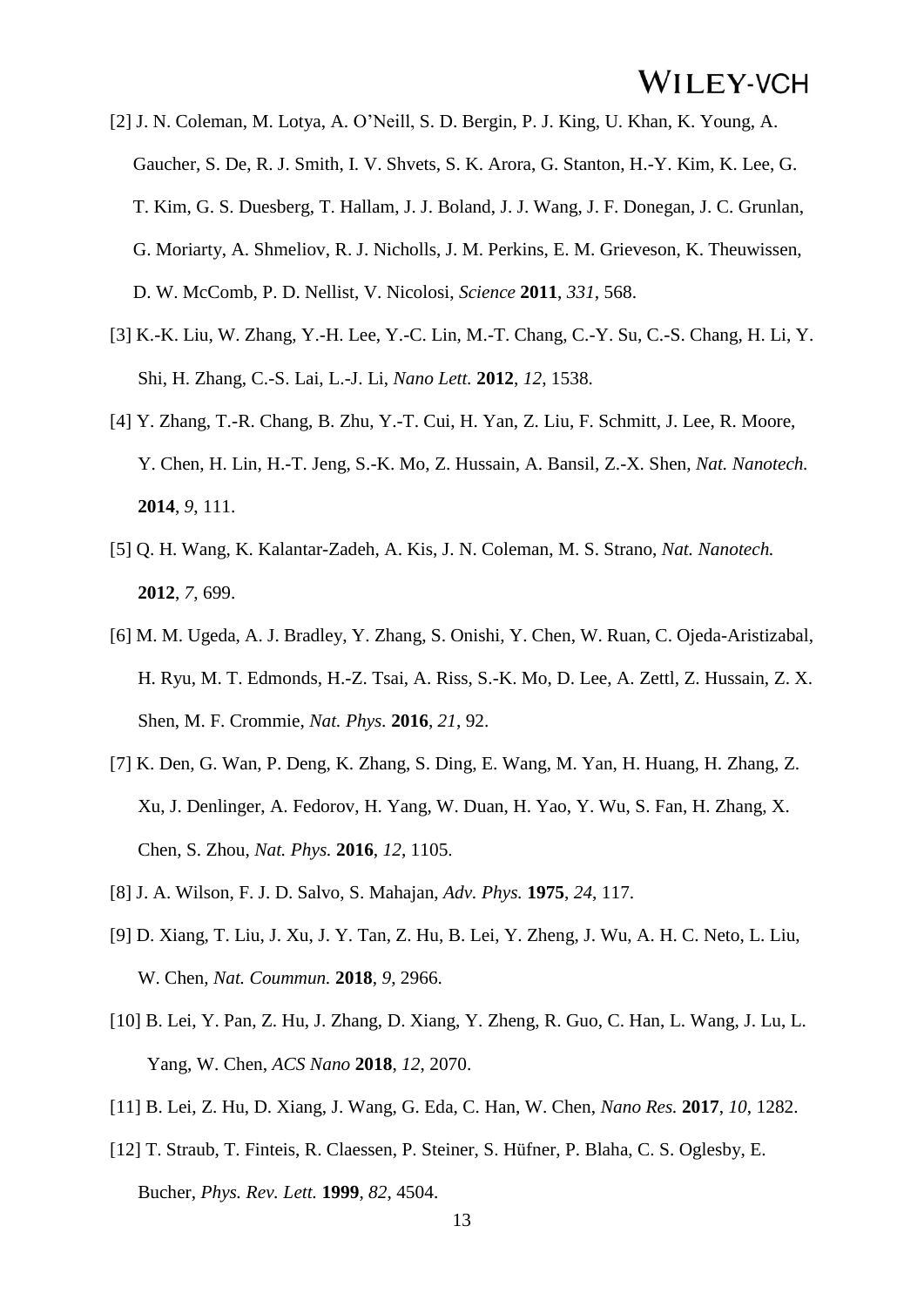- [2] J. N. Coleman, M. Lotya, A. O'Neill, S. D. Bergin, P. J. King, U. Khan, K. Young, A. Gaucher, S. De, R. J. Smith, I. V. Shvets, S. K. Arora, G. Stanton, H.-Y. Kim, K. Lee, G. T. Kim, G. S. Duesberg, T. Hallam, J. J. Boland, J. J. Wang, J. F. Donegan, J. C. Grunlan, G. Moriarty, A. Shmeliov, R. J. Nicholls, J. M. Perkins, E. M. Grieveson, K. Theuwissen, D. W. McComb, P. D. Nellist, V. Nicolosi, *Science* **2011**, *331*, 568.
- [3] K.-K. Liu, W. Zhang, Y.-H. Lee, Y.-C. Lin, M.-T. Chang, C.-Y. Su, C.-S. Chang, H. Li, Y. Shi, H. Zhang, C.-S. Lai, L.-J. Li, *Nano Lett.* **2012**, *12*, 1538.
- [4] Y. Zhang, T.-R. Chang, B. Zhu, Y.-T. Cui, H. Yan, Z. Liu, F. Schmitt, J. Lee, R. Moore, Y. Chen, H. Lin, H.-T. Jeng, S.-K. Mo, Z. Hussain, A. Bansil, Z.-X. Shen, *Nat. Nanotech.*  **2014**, *9*, 111.
- [5] Q. H. Wang, K. Kalantar-Zadeh, A. Kis, J. N. Coleman, M. S. Strano, *Nat. Nanotech.*  **2012**, *7*, 699.
- [6] M. M. Ugeda, A. J. Bradley, Y. Zhang, S. Onishi, Y. Chen, W. Ruan, C. Ojeda-Aristizabal, H. Ryu, M. T. Edmonds, H.-Z. Tsai, A. Riss, S.-K. Mo, D. Lee, A. Zettl, Z. Hussain, Z. X. Shen, M. F. Crommie, *Nat. Phys.* **2016**, *21*, 92.
- [7] K. Den, G. Wan, P. Deng, K. Zhang, S. Ding, E. Wang, M. Yan, H. Huang, H. Zhang, Z. Xu, J. Denlinger, A. Fedorov, H. Yang, W. Duan, H. Yao, Y. Wu, S. Fan, H. Zhang, X. Chen, S. Zhou, *Nat. Phys.* **2016**, *12*, 1105.
- [8] J. A. Wilson, F. J. D. Salvo, S. Mahajan, *Adv. Phys.* **1975**, *24*, 117.
- [9] D. Xiang, T. Liu, J. Xu, J. Y. Tan, Z. Hu, B. Lei, Y. Zheng, J. Wu, A. H. C. Neto, L. Liu, W. Chen, *Nat. Coummun.* **2018**, *9*, 2966.
- [10] B. Lei, Y. Pan, Z. Hu, J. Zhang, D. Xiang, Y. Zheng, R. Guo, C. Han, L. Wang, J. Lu, L. Yang, W. Chen, *ACS Nano* **2018**, *12*, 2070.
- [11] B. Lei, Z. Hu, D. Xiang, J. Wang, G. Eda, C. Han, W. Chen, *Nano Res.* **2017**, *10*, 1282.
- [12] T. Straub, T. Finteis, R. Claessen, P. Steiner, S. Hüfner, P. Blaha, C. S. Oglesby, E. Bucher, *Phys. Rev. Lett.* **1999**, *82*, 4504.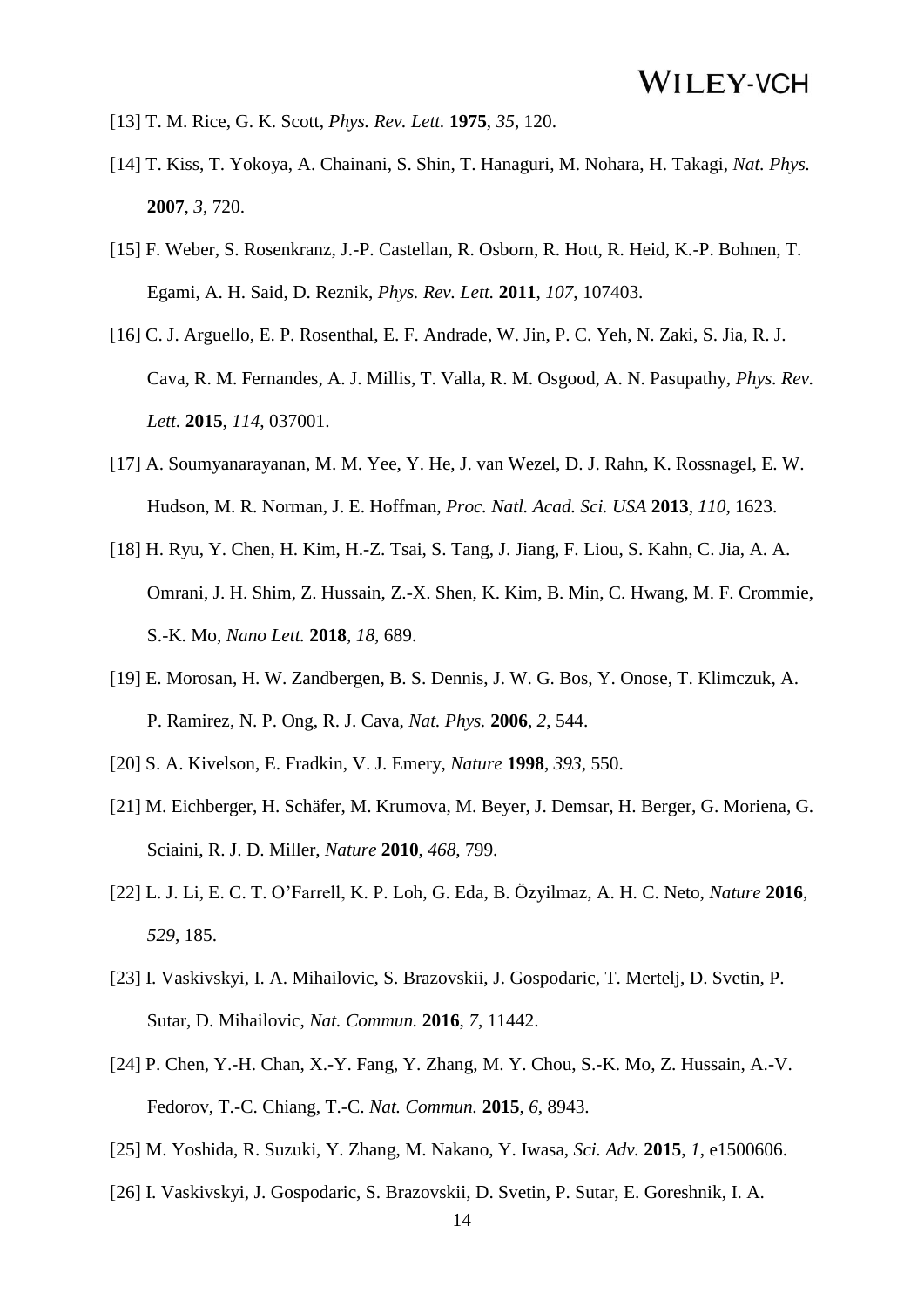- [13] T. M. Rice, G. K. Scott, *Phys. Rev. Lett.* **1975**, *35*, 120.
- [14] T. Kiss, T. Yokoya, A. Chainani, S. Shin, T. Hanaguri, M. Nohara, H. Takagi, *Nat. Phys.*  **2007**, *3*, 720.
- [15] F. Weber, S. Rosenkranz, J.-P. Castellan, R. Osborn, R. Hott, R. Heid, K.-P. Bohnen, T. Egami, A. H. Said, D. Reznik, *Phys. Rev. Lett.* **2011**, *107*, 107403.
- [16] C. J. Arguello, E. P. Rosenthal, E. F. Andrade, W. Jin, P. C. Yeh, N. Zaki, S. Jia, R. J. Cava, R. M. Fernandes, A. J. Millis, T. Valla, R. M. Osgood, A. N. Pasupathy, *Phys. Rev. Lett.* **2015**, *114*, 037001.
- [17] A. Soumyanarayanan, M. M. Yee, Y. He, J. van Wezel, D. J. Rahn, K. Rossnagel, E. W. Hudson, M. R. Norman, J. E. Hoffman, *Proc. Natl. Acad. Sci. USA* **2013**, *110*, 1623.
- [18] H. Ryu, Y. Chen, H. Kim, H.-Z. Tsai, S. Tang, J. Jiang, F. Liou, S. Kahn, C. Jia, A. A. Omrani, J. H. Shim, Z. Hussain, Z.-X. Shen, K. Kim, B. Min, C. Hwang, M. F. Crommie, S.-K. Mo, *Nano Lett.* **2018**, *18*, 689.
- [19] E. Morosan, H. W. Zandbergen, B. S. Dennis, J. W. G. Bos, Y. Onose, T. Klimczuk, A. P. Ramirez, N. P. Ong, R. J. Cava, *Nat. Phys.* **2006**, *2*, 544.
- [20] S. A. Kivelson, E. Fradkin, V. J. Emery, *Nature* **1998**, *393*, 550.
- [21] M. Eichberger, H. Schäfer, M. Krumova, M. Beyer, J. Demsar, H. Berger, G. Moriena, G. Sciaini, R. J. D. Miller, *Nature* **2010**, *468*, 799.
- [22] L. J. Li, E. C. T. O'Farrell, K. P. Loh, G. Eda, B. Özyilmaz, A. H. C. Neto, *Nature* **2016**,  *529*, 185.
- [23] I. Vaskivskyi, I. A. Mihailovic, S. Brazovskii, J. Gospodaric, T. Mertelj, D. Svetin, P. Sutar, D. Mihailovic, *Nat. Commun.* **2016**, *7*, 11442.
- [24] P. Chen, Y.-H. Chan, X.-Y. Fang, Y. Zhang, M. Y. Chou, S.-K. Mo, Z. Hussain, A.-V. Fedorov, T.-C. Chiang, T.-C. *Nat. Commun.* **2015**, *6*, 8943.
- [25] M. Yoshida, R. Suzuki, Y. Zhang, M. Nakano, Y. Iwasa, *Sci. Adv.* **2015**, *1*, e1500606.
- [26] I. Vaskivskyi, J. Gospodaric, S. Brazovskii, D. Svetin, P. Sutar, E. Goreshnik, I. A.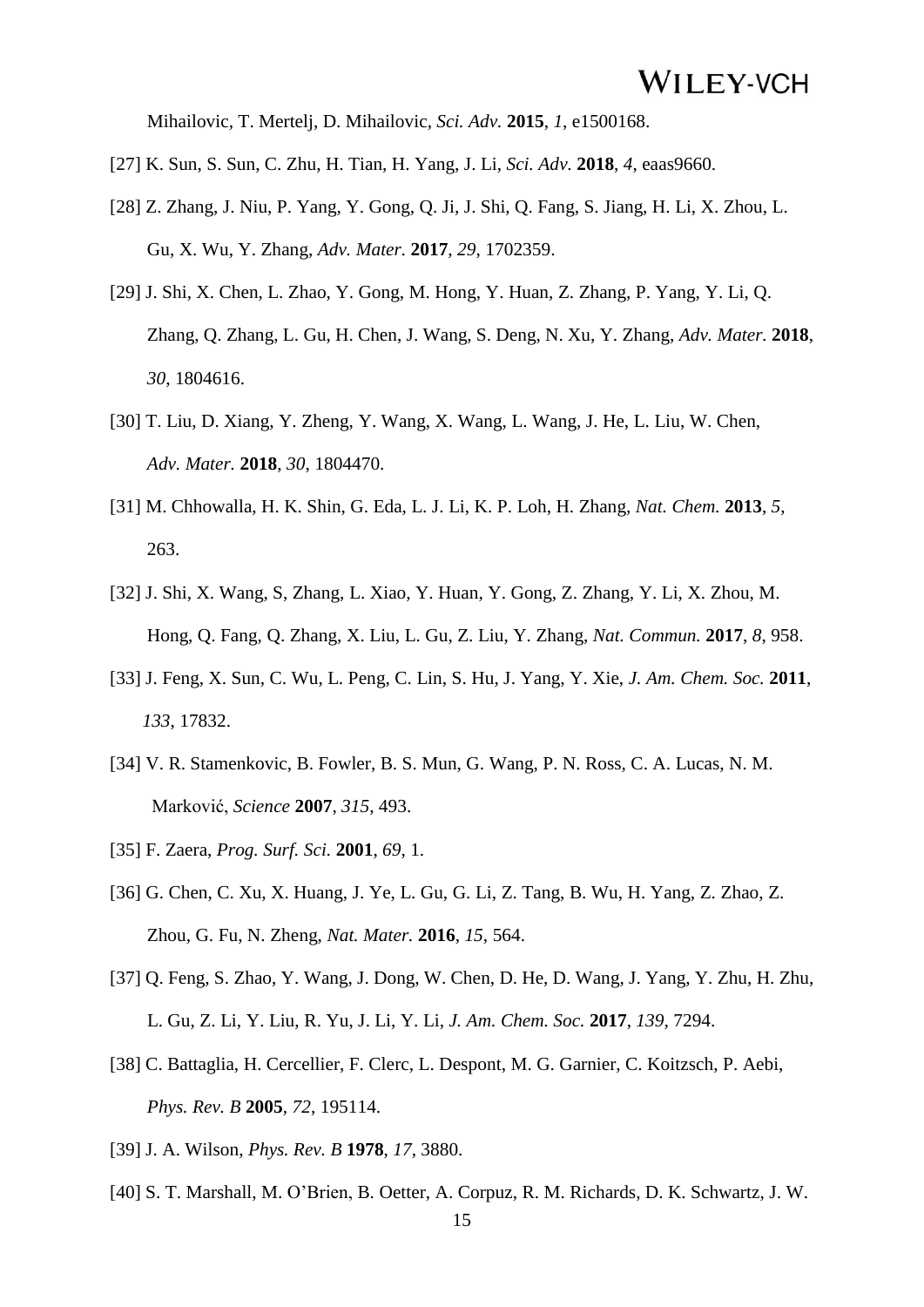Mihailovic, T. Mertelj, D. Mihailovic, *Sci. Adv.* **2015**, *1*, e1500168.

- [27] K. Sun, S. Sun, C. Zhu, H. Tian, H. Yang, J. Li, *Sci. Adv.* **2018**, *4*, eaas9660.
- [28] Z. Zhang, J. Niu, P. Yang, Y. Gong, Q. Ji, J. Shi, Q. Fang, S. Jiang, H. Li, X. Zhou, L. Gu, X. Wu, Y. Zhang, *Adv. Mater.* **2017**, *29*, 1702359.
- [29] J. Shi, X. Chen, L. Zhao, Y. Gong, M. Hong, Y. Huan, Z. Zhang, P. Yang, Y. Li, Q. Zhang, Q. Zhang, L. Gu, H. Chen, J. Wang, S. Deng, N. Xu, Y. Zhang, *Adv. Mater.* **2018**,  *30*, 1804616.
- [30] T. Liu, D. Xiang, Y. Zheng, Y. Wang, X. Wang, L. Wang, J. He, L. Liu, W. Chen, *Adv. Mater.* **2018**, *30*, 1804470.
- [31] M. Chhowalla, H. K. Shin, G. Eda, L. J. Li, K. P. Loh, H. Zhang, *Nat. Chem.* **2013**, *5*, 263.
- [32] J. Shi, X. Wang, S, Zhang, L. Xiao, Y. Huan, Y. Gong, Z. Zhang, Y. Li, X. Zhou, M. Hong, Q. Fang, Q. Zhang, X. Liu, L. Gu, Z. Liu, Y. Zhang, *Nat. Commun.* **2017**, *8*, 958.
- [33] J. Feng, X. Sun, C. Wu, L. Peng, C. Lin, S. Hu, J. Yang, Y. Xie, *J. Am. Chem. Soc.* **2011**,  *133*, 17832.
- [34] V. R. Stamenkovic, B. Fowler, B. S. Mun, G. Wang, P. N. Ross, C. A. Lucas, N. M. Marković, *Science* **2007**, *315*, 493.
- [35] F. Zaera, *Prog. Surf. Sci.* **2001**, *69*, 1.
- [36] G. Chen, C. Xu, X. Huang, J. Ye, L. Gu, G. Li, Z. Tang, B. Wu, H. Yang, Z. Zhao, Z. Zhou, G. Fu, N. Zheng, *Nat. Mater.* **2016**, *15*, 564.
- [37] Q. Feng, S. Zhao, Y. Wang, J. Dong, W. Chen, D. He, D. Wang, J. Yang, Y. Zhu, H. Zhu, L. Gu, Z. Li, Y. Liu, R. Yu, J. Li, Y. Li, *J. Am. Chem. Soc.* **2017**, *139*, 7294.
- [38] C. Battaglia, H. Cercellier, F. Clerc, L. Despont, M. G. Garnier, C. Koitzsch, P. Aebi,  *Phys. Rev. B* **2005**, *72*, 195114.
- [39] J. A. Wilson, *Phys. Rev. B* **1978**, *17*, 3880.
- [40] S. T. Marshall, M. O'Brien, B. Oetter, A. Corpuz, R. M. Richards, D. K. Schwartz, J. W.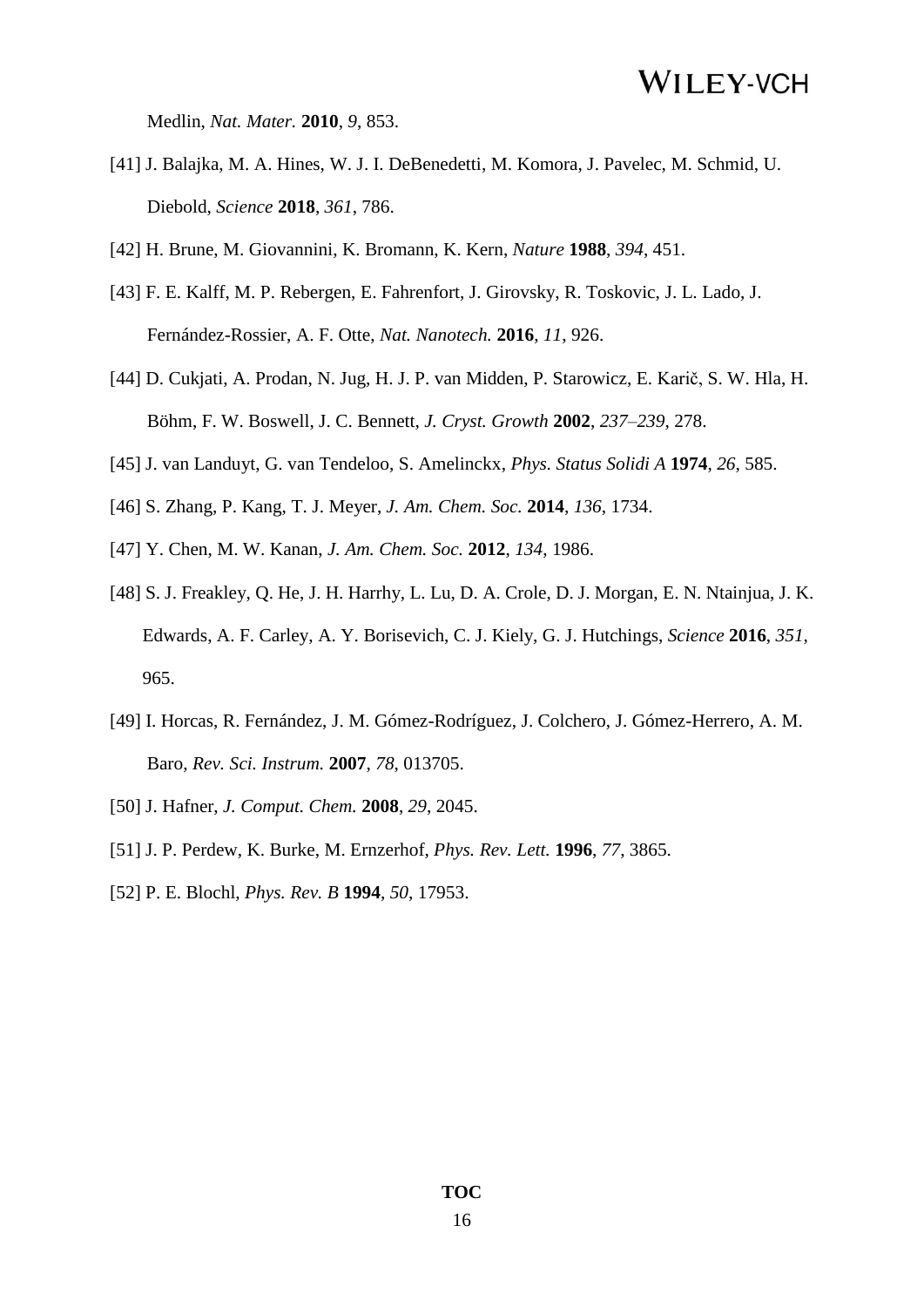Medlin, *Nat. Mater.* **2010**, *9*, 853.

- [41] J. Balajka, M. A. Hines, W. J. I. DeBenedetti, M. Komora, J. Pavelec, M. Schmid, U. Diebold, *Science* **2018**, *361*, 786.
- [42] H. Brune, M. Giovannini, K. Bromann, K. Kern, *Nature* **1988**, *394*, 451.
- [43] F. E. Kalff, M. P. Rebergen, E. Fahrenfort, J. Girovsky, R. Toskovic, J. L. Lado, J. Fernández-Rossier, A. F. Otte, *Nat. Nanotech.* **2016**, *11*, 926.
- [44] D. Cukjati, A. Prodan, N. Jug, H. J. P. van Midden, P. Starowicz, E. Karič, S. W. Hla, H. Böhm, F. W. Boswell, J. C. Bennett, *J. Cryst. Growth* **2002**, *237–239*, 278.
- [45] J. van Landuyt, G. van Tendeloo, S. Amelinckx, *Phys. Status Solidi A* **1974**, *26*, 585.
- [46] S. Zhang, P. Kang, T. J. Meyer, *J. Am. Chem. Soc.* **2014**, *136*, 1734.
- [47] Y. Chen, M. W. Kanan, *J. Am. Chem. Soc.* **2012**, *134*, 1986.
- [48] S. J. Freakley, Q. He, J. H. Harrhy, L. Lu, D. A. Crole, D. J. Morgan, E. N. Ntainjua, J. K. Edwards, A. F. Carley, A. Y. Borisevich, C. J. Kiely, G. J. Hutchings, *Science* **2016**, *351*, 965.
- [49] I. Horcas, R. Fernández, J. M. Gómez-Rodríguez, J. Colchero, J. Gómez-Herrero, A. M. Baro, *Rev. Sci. Instrum.* **2007**, *78*, 013705.
- [50] J. Hafner, *J. Comput. Chem.* **2008**, *29*, 2045.
- [51] J. P. Perdew, K. Burke, M. Ernzerhof, *Phys. Rev. Lett.* **1996**, *77*, 3865.
- [52] P. E. Blochl, *Phys. Rev. B* **1994**, *50*, 17953.